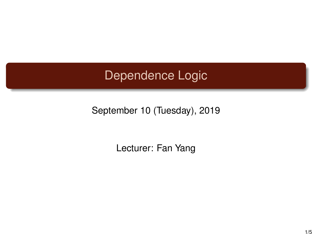## Dependence Logic

September 10 (Tuesday), 2019

Lecturer: Fan Yang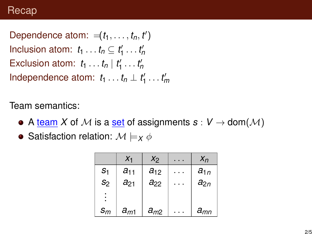Dependence atom:  $=$   $(t_1, \ldots, t_n, t')$ Inclusion atom:  $t_1 \ldots t_n \subseteq t'_1 \ldots t'_n$ Exclusion atom:  $t_1 \ldots t_n | t'_1 \ldots t'_n$ Independence atom:  $t_1 \ldots t_n \perp t'_1 \ldots t'_m$ 

Team semantics:

- A team X of M is a set of assignments  $s: V \to \text{dom}(\mathcal{M})$
- Satisfaction relation:  $M \models_X \phi$

|                | $X_1$    | X <sub>2</sub> | $X_n$    |
|----------------|----------|----------------|----------|
| S <sub>1</sub> | $a_{11}$ | $a_{12}$       | $a_{1n}$ |
| S <sub>2</sub> | $a_{21}$ | $a_{22}$       | $a_{2n}$ |
| $\blacksquare$ |          |                |          |
| $S_m$          | $a_{m1}$ | $a_{m2}$       | $a_{mn}$ |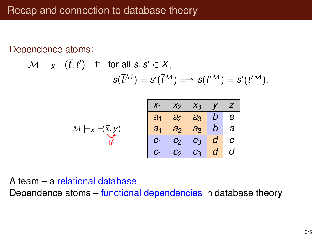Dependence atoms:

$$
\mathcal{M} \models_X = (\vec{t}, t') \text{ iff for all } s, s' \in X, \\ s(\vec{t}^{\mathcal{M}}) = s'(\vec{t}^{\mathcal{M}}) \Longrightarrow s(t'^{\mathcal{M}}) = s'(t'^{\mathcal{M}}).
$$

|                                              | $X_1$          |       | $x_2$ $x_3$ $y$ $z$ |                |          |
|----------------------------------------------|----------------|-------|---------------------|----------------|----------|
|                                              | a <sub>1</sub> |       | $a_2$ $a_3$ b e     |                |          |
| $\mathcal{M} \models_X \preceq (\vec{x}, y)$ | a <sub>1</sub> |       | $a_2$ $a_3$ b a     |                |          |
|                                              |                |       | $c_2$ $c_3$ $d$ $c$ |                |          |
|                                              |                | $c_2$ | $c_3$               | $\overline{d}$ | $d \mid$ |

## A team – a relational database Dependence atoms – functional dependencies in database theory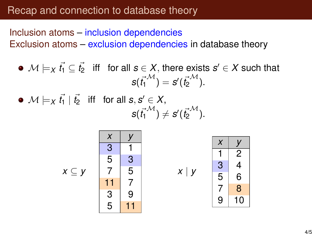## Recap and connection to database theory

Inclusion atoms – inclusion dependencies Exclusion atoms – exclusion dependencies in database theory

 $\mathcal{M} \models_X \vec{t_1} \subseteq \vec{t_2}$  iff for all  $\bm{s} \in X,$  there exists  $\bm{s}' \in X$  such that  $s(\vec{t_1}^{\mathcal{M}}) = s'(\vec{t_2}^{\mathcal{M}}).$ 

 $\mathcal{M} \models_X \vec{t_1} \mid \vec{t_2} \ \ \ \text{iff} \ \ \ \text{for all} \ \bm{s}, \bm{s}' \in X,$  $s({\vec{t_1}}^{\mathcal{M}}) \neq s'({\vec{t_2}}^{\mathcal{M}}).$ 



*x* ⊆ *y*